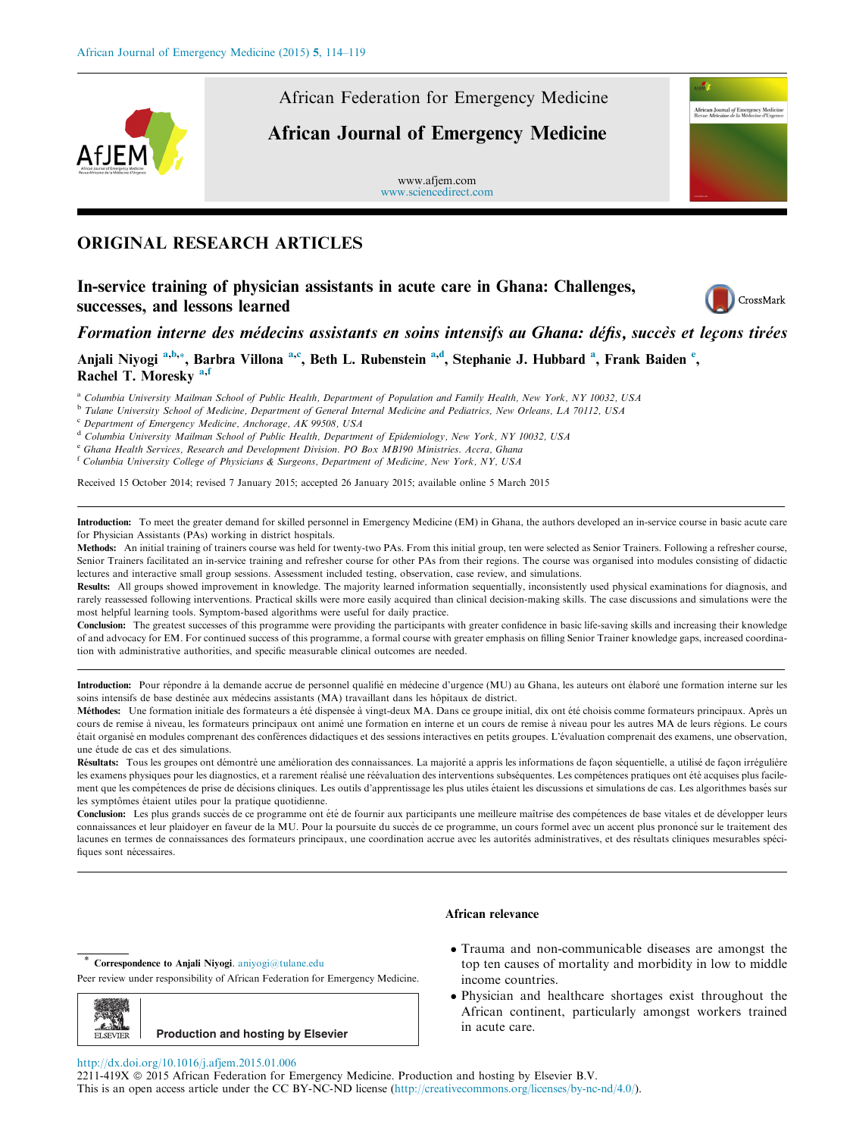

African Federation for Emergency Medicine

# African Journal of Emergency Medicine

www.afjem.com [www.sciencedirect.com](http://www.sciencedirect.com/science/journal/2211419X)

# ORIGINAL RESEARCH ARTICLES

In-service training of physician assistants in acute care in Ghana: Challenges, successes, and lessons learned



African Journal of Emergency Medicine<br>Revue Africaine de la Médecine d'Ureence

Formation interne des médecins assistants en soins intensifs au Ghana: défis, succès et lecons tirées

Anjali Niyogi <sup>a,b,</sup>\*, Barbra Villona <sup>a,c</sup>, Beth L. Rubenstein <sup>a,d</sup>, Stephanie J. Hubbard <sup>a</sup>, Frank Baiden <sup>e</sup>, Rachel T. Moresky a,f

<sup>a</sup> Columbia University Mailman School of Public Health, Department of Population and Family Health, New York, NY 10032, USA

<sup>b</sup> Tulane University School of Medicine, Department of General Internal Medicine and Pediatrics, New Orleans, LA 70112, USA

Department of Emergency Medicine, Anchorage, AK 99508, USA

<sup>d</sup> Columbia University Mailman School of Public Health, Department of Epidemiology, New York, NY 10032, USA

e Ghana Health Services, Research and Development Division. PO Box MB190 Ministries. Accra, Ghana

<sup>f</sup> Columbia University College of Physicians & Surgeons, Department of Medicine, New York, NY, USA

Received 15 October 2014; revised 7 January 2015; accepted 26 January 2015; available online 5 March 2015

Introduction: To meet the greater demand for skilled personnel in Emergency Medicine (EM) in Ghana, the authors developed an in-service course in basic acute care for Physician Assistants (PAs) working in district hospitals.

Methods: An initial training of trainers course was held for twenty-two PAs. From this initial group, ten were selected as Senior Trainers. Following a refresher course, Senior Trainers facilitated an in-service training and refresher course for other PAs from their regions. The course was organised into modules consisting of didactic lectures and interactive small group sessions. Assessment included testing, observation, case review, and simulations.

Results: All groups showed improvement in knowledge. The majority learned information sequentially, inconsistently used physical examinations for diagnosis, and rarely reassessed following interventions. Practical skills were more easily acquired than clinical decision-making skills. The case discussions and simulations were the most helpful learning tools. Symptom-based algorithms were useful for daily practice.

Conclusion: The greatest successes of this programme were providing the participants with greater confidence in basic life-saving skills and increasing their knowledge of and advocacy for EM. For continued success of this programme, a formal course with greater emphasis on filling Senior Trainer knowledge gaps, increased coordination with administrative authorities, and specific measurable clinical outcomes are needed.

Introduction: Pour répondre à la demande accrue de personnel qualifié en médecine d'urgence (MU) au Ghana, les auteurs ont élaboré une formation interne sur les soins intensifs de base destinée aux médecins assistants (MA) travaillant dans les hôpitaux de district.

Méthodes: Une formation initiale des formateurs a été dispensée à vingt-deux MA. Dans ce groupe initial, dix ont été choisis comme formateurs principaux. Après un cours de remise à niveau, les formateurs principaux ont animé une formation en interne et un cours de remise à niveau pour les autres MA de leurs régions. Le cours était organisé en modules comprenant des conférences didactiques et des sessions interactives en petits groupes. L'évaluation comprenait des examens, une observation, une étude de cas et des simulations.

Résultats: Tous les groupes ont démontré une amélioration des connaissances. La majorité a appris les informations de facon séquentielle, a utilisé de facon irrégulière les examens physiques pour les diagnostics, et a rarement réalisé une réévaluation des interventions subséquentes. Les compétences pratiques ont été acquises plus facilement que les compétences de prise de décisions cliniques. Les outils d'apprentissage les plus utiles étaient les discussions et simulations de cas. Les algorithmes basés sur les symptômes étaient utiles pour la pratique quotidienne.

Conclusion: Les plus grands succès de ce programme ont été de fournir aux participants une meilleure maîtrise des compétences de base vitales et de développer leurs connaissances et leur plaidoyer en faveur de la MU. Pour la poursuite du succès de ce programme, un cours formel avec un accent plus prononcé sur le traitement des lacunes en termes de connaissances des formateurs principaux, une coordination accrue avec les autorités administratives, et des résultats cliniques mesurables spécifiques sont nécessaires.

#### African relevance

Correspondence to Anjali Niyogi. [aniyogi@tulane.edu](mailto:aniyogi@tulane.edu) Peer review under responsibility of African Federation for Emergency Medicine.

ELSEVIER **Production and hosting by Elsevier**

- Trauma and non-communicable diseases are amongst the top ten causes of mortality and morbidity in low to middle income countries.
- Physician and healthcare shortages exist throughout the African continent, particularly amongst workers trained in acute care.

#### <http://dx.doi.org/10.1016/j.afjem.2015.01.006>

2211-419X © 2015 African Federation for Emergency Medicine. Production and hosting by Elsevier B.V. This is an open access article under the CC BY-NC-ND license ([http://creativecommons.org/licenses/by-nc-nd/4.0/\)](http://creativecommons.org/licenses/by-nc-nd/4.0/).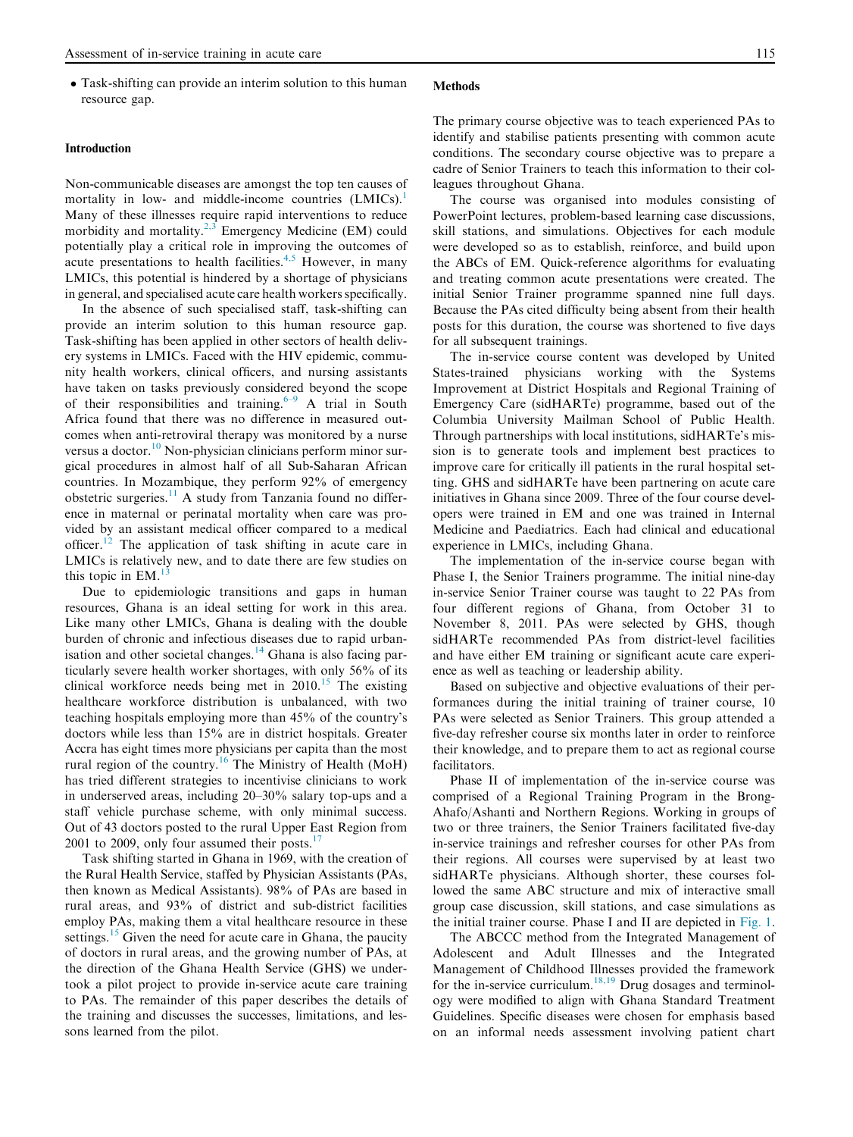- Task-shifting can provide an interim solution to this human resource gap.

#### Introduction

Non-communicable diseases are amongst the top ten causes of mortality in low- and middle-income countries (LMICs).<sup>[1](#page-5-0)</sup> Many of these illnesses require rapid interventions to reduce morbidity and mortality.<sup>[2,3](#page-5-0)</sup> Emergency Medicine (EM) could potentially play a critical role in improving the outcomes of acute presentations to health facilities.<sup>[4,5](#page-5-0)</sup> However, in many LMICs, this potential is hindered by a shortage of physicians in general, and specialised acute care health workers specifically.

In the absence of such specialised staff, task-shifting can provide an interim solution to this human resource gap. Task-shifting has been applied in other sectors of health delivery systems in LMICs. Faced with the HIV epidemic, community health workers, clinical officers, and nursing assistants have taken on tasks previously considered beyond the scope of their responsibilities and training.<sup>[6–9](#page-5-0)</sup> A trial in South Africa found that there was no difference in measured outcomes when anti-retroviral therapy was monitored by a nurse versus a doctor.<sup>[10](#page-5-0)</sup> Non-physician clinicians perform minor surgical procedures in almost half of all Sub-Saharan African countries. In Mozambique, they perform 92% of emergency obstetric surgeries.<sup>[11](#page-5-0)</sup> A study from Tanzania found no difference in maternal or perinatal mortality when care was provided by an assistant medical officer compared to a medical officer.<sup>[12](#page-5-0)</sup> The application of task shifting in acute care in LMICs is relatively new, and to date there are few studies on this topic in  $EM<sup>1</sup>$ .

Due to epidemiologic transitions and gaps in human resources, Ghana is an ideal setting for work in this area. Like many other LMICs, Ghana is dealing with the double burden of chronic and infectious diseases due to rapid urban-isation and other societal changes.<sup>[14](#page-5-0)</sup> Ghana is also facing particularly severe health worker shortages, with only 56% of its clinical workforce needs being met in  $2010$ .<sup>[15](#page-5-0)</sup> The existing healthcare workforce distribution is unbalanced, with two teaching hospitals employing more than 45% of the country's doctors while less than 15% are in district hospitals. Greater Accra has eight times more physicians per capita than the most rural region of the country.<sup>[16](#page-5-0)</sup> The Ministry of Health (MoH) has tried different strategies to incentivise clinicians to work in underserved areas, including 20–30% salary top-ups and a staff vehicle purchase scheme, with only minimal success. Out of 43 doctors posted to the rural Upper East Region from 2001 to 2009, only four assumed their posts. $<sup>1</sup>$ </sup>

Task shifting started in Ghana in 1969, with the creation of the Rural Health Service, staffed by Physician Assistants (PAs, then known as Medical Assistants). 98% of PAs are based in rural areas, and 93% of district and sub-district facilities employ PAs, making them a vital healthcare resource in these settings.<sup>[15](#page-5-0)</sup> Given the need for acute care in Ghana, the paucity of doctors in rural areas, and the growing number of PAs, at the direction of the Ghana Health Service (GHS) we undertook a pilot project to provide in-service acute care training to PAs. The remainder of this paper describes the details of the training and discusses the successes, limitations, and lessons learned from the pilot.

#### **Methods**

The primary course objective was to teach experienced PAs to identify and stabilise patients presenting with common acute conditions. The secondary course objective was to prepare a cadre of Senior Trainers to teach this information to their colleagues throughout Ghana.

The course was organised into modules consisting of PowerPoint lectures, problem-based learning case discussions, skill stations, and simulations. Objectives for each module were developed so as to establish, reinforce, and build upon the ABCs of EM. Quick-reference algorithms for evaluating and treating common acute presentations were created. The initial Senior Trainer programme spanned nine full days. Because the PAs cited difficulty being absent from their health posts for this duration, the course was shortened to five days for all subsequent trainings.

The in-service course content was developed by United States-trained physicians working with the Systems Improvement at District Hospitals and Regional Training of Emergency Care (sidHARTe) programme, based out of the Columbia University Mailman School of Public Health. Through partnerships with local institutions, sidHARTe's mission is to generate tools and implement best practices to improve care for critically ill patients in the rural hospital setting. GHS and sidHARTe have been partnering on acute care initiatives in Ghana since 2009. Three of the four course developers were trained in EM and one was trained in Internal Medicine and Paediatrics. Each had clinical and educational experience in LMICs, including Ghana.

The implementation of the in-service course began with Phase I, the Senior Trainers programme. The initial nine-day in-service Senior Trainer course was taught to 22 PAs from four different regions of Ghana, from October 31 to November 8, 2011. PAs were selected by GHS, though sidHARTe recommended PAs from district-level facilities and have either EM training or significant acute care experience as well as teaching or leadership ability.

Based on subjective and objective evaluations of their performances during the initial training of trainer course, 10 PAs were selected as Senior Trainers. This group attended a five-day refresher course six months later in order to reinforce their knowledge, and to prepare them to act as regional course facilitators.

Phase II of implementation of the in-service course was comprised of a Regional Training Program in the Brong-Ahafo/Ashanti and Northern Regions. Working in groups of two or three trainers, the Senior Trainers facilitated five-day in-service trainings and refresher courses for other PAs from their regions. All courses were supervised by at least two sidHARTe physicians. Although shorter, these courses followed the same ABC structure and mix of interactive small group case discussion, skill stations, and case simulations as the initial trainer course. Phase I and II are depicted in [Fig. 1](#page-2-0).

The ABCCC method from the Integrated Management of Adolescent and Adult Illnesses and the Integrated Management of Childhood Illnesses provided the framework for the in-service curriculum.<sup>[18,19](#page-5-0)</sup> Drug dosages and terminology were modified to align with Ghana Standard Treatment Guidelines. Specific diseases were chosen for emphasis based on an informal needs assessment involving patient chart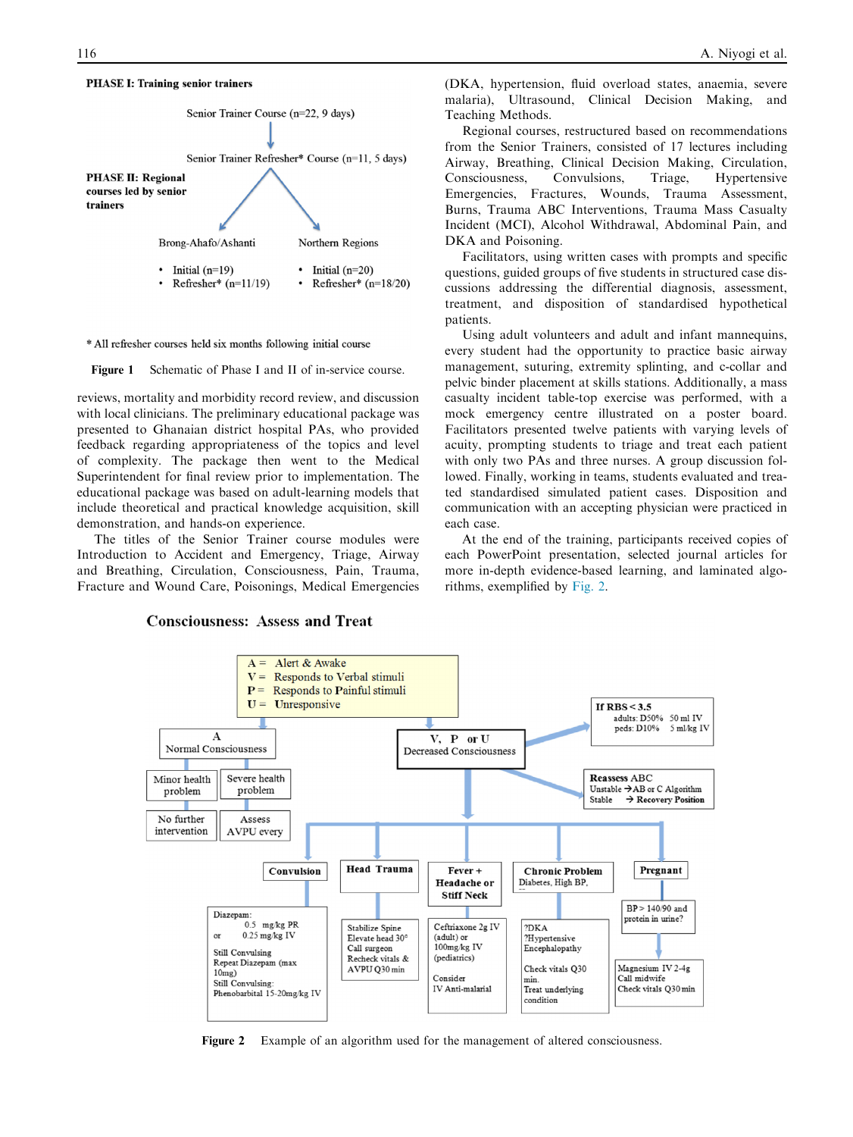<span id="page-2-0"></span>

\* All refresher courses held six months following initial course

Figure 1 Schematic of Phase I and II of in-service course.

reviews, mortality and morbidity record review, and discussion with local clinicians. The preliminary educational package was presented to Ghanaian district hospital PAs, who provided feedback regarding appropriateness of the topics and level of complexity. The package then went to the Medical Superintendent for final review prior to implementation. The educational package was based on adult-learning models that include theoretical and practical knowledge acquisition, skill demonstration, and hands-on experience.

The titles of the Senior Trainer course modules were Introduction to Accident and Emergency, Triage, Airway and Breathing, Circulation, Consciousness, Pain, Trauma, Fracture and Wound Care, Poisonings, Medical Emergencies (DKA, hypertension, fluid overload states, anaemia, severe malaria), Ultrasound, Clinical Decision Making, and Teaching Methods.

Regional courses, restructured based on recommendations from the Senior Trainers, consisted of 17 lectures including Airway, Breathing, Clinical Decision Making, Circulation, Consciousness, Convulsions, Triage, Hypertensive Emergencies, Fractures, Wounds, Trauma Assessment, Burns, Trauma ABC Interventions, Trauma Mass Casualty Incident (MCI), Alcohol Withdrawal, Abdominal Pain, and DKA and Poisoning.

Facilitators, using written cases with prompts and specific questions, guided groups of five students in structured case discussions addressing the differential diagnosis, assessment, treatment, and disposition of standardised hypothetical patients.

Using adult volunteers and adult and infant mannequins, every student had the opportunity to practice basic airway management, suturing, extremity splinting, and c-collar and pelvic binder placement at skills stations. Additionally, a mass casualty incident table-top exercise was performed, with a mock emergency centre illustrated on a poster board. Facilitators presented twelve patients with varying levels of acuity, prompting students to triage and treat each patient with only two PAs and three nurses. A group discussion followed. Finally, working in teams, students evaluated and treated standardised simulated patient cases. Disposition and communication with an accepting physician were practiced in each case.

At the end of the training, participants received copies of each PowerPoint presentation, selected journal articles for more in-depth evidence-based learning, and laminated algorithms, exemplified by Fig. 2.



Figure 2 Example of an algorithm used for the management of altered consciousness.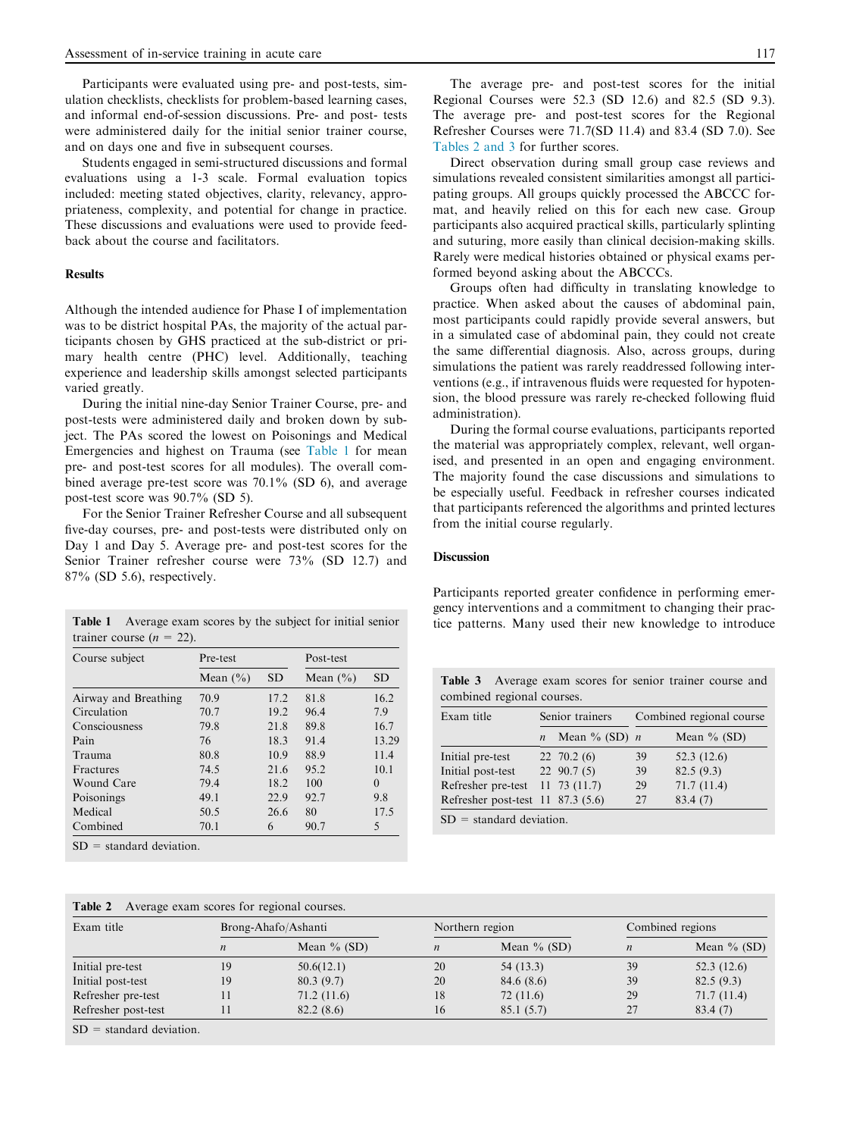Participants were evaluated using pre- and post-tests, simulation checklists, checklists for problem-based learning cases, and informal end-of-session discussions. Pre- and post- tests were administered daily for the initial senior trainer course, and on days one and five in subsequent courses.

Students engaged in semi-structured discussions and formal evaluations using a 1-3 scale. Formal evaluation topics included: meeting stated objectives, clarity, relevancy, appropriateness, complexity, and potential for change in practice. These discussions and evaluations were used to provide feedback about the course and facilitators.

# Results

Although the intended audience for Phase I of implementation was to be district hospital PAs, the majority of the actual participants chosen by GHS practiced at the sub-district or primary health centre (PHC) level. Additionally, teaching experience and leadership skills amongst selected participants varied greatly.

During the initial nine-day Senior Trainer Course, pre- and post-tests were administered daily and broken down by subject. The PAs scored the lowest on Poisonings and Medical Emergencies and highest on Trauma (see Table 1 for mean pre- and post-test scores for all modules). The overall combined average pre-test score was 70.1% (SD 6), and average post-test score was 90.7% (SD 5).

For the Senior Trainer Refresher Course and all subsequent five-day courses, pre- and post-tests were distributed only on Day 1 and Day 5. Average pre- and post-test scores for the Senior Trainer refresher course were 73% (SD 12.7) and 87% (SD 5.6), respectively.

Table 1 Average exam scores by the subject for initial senior tice patterns. Many used their new knowledge to introduce trainer course  $(n = 22)$ .

| Course subject       | Pre-test     |           | Post-test    |                          |
|----------------------|--------------|-----------|--------------|--------------------------|
|                      | Mean $(\% )$ | <b>SD</b> | Mean $(\% )$ | <b>SD</b>                |
| Airway and Breathing | 70.9         | 17.2      | 81.8         | 16.2                     |
| Circulation          | 70.7         | 19.2      | 96.4         | 7.9                      |
| Consciousness        | 79.8         | 21.8      | 89.8         | 16.7                     |
| Pain                 | 76           | 18.3      | 91.4         | 13.29                    |
| Trauma               | 80.8         | 10.9      | 88.9         | 11.4                     |
| Fractures            | 74.5         | 21.6      | 95.2         | 10.1                     |
| Wound Care           | 79.4         | 18.2      | 100          | $\Omega$                 |
| Poisonings           | 49.1         | 22.9      | 92.7         | 9.8                      |
| Medical              | 50.5         | 26.6      | 80           | 17.5                     |
| Combined             | 70.1         | 6         | 90.7         | $\overline{\phantom{0}}$ |

 $SD = standard deviation$ .

### Table 2 Average exam scores for regional courses.

| Exam title                  |    | Brong-Ahafo/Ashanti |                  | Northern region |                  | Combined regions |  |
|-----------------------------|----|---------------------|------------------|-----------------|------------------|------------------|--|
|                             | n  | Mean $\%$ (SD)      | $\boldsymbol{n}$ | Mean $\%$ (SD)  | $\boldsymbol{n}$ | Mean $\%$ (SD)   |  |
| Initial pre-test            | 19 | 50.6(12.1)          | 20               | 54 (13.3)       | 39               | 52.3(12.6)       |  |
| Initial post-test           | 19 | 80.3(9.7)           | 20               | 84.6 (8.6)      | 39               | 82.5(9.3)        |  |
| Refresher pre-test          | 11 | 71.2 (11.6)         | 18               | 72 (11.6)       | 29               | 71.7(11.4)       |  |
| Refresher post-test         |    | 82.2(8.6)           | 16               | 85.1 (5.7)      | 27               | 83.4(7)          |  |
| $SD = standard deviation$ . |    |                     |                  |                 |                  |                  |  |

The average pre- and post-test scores for the initial Regional Courses were 52.3 (SD 12.6) and 82.5 (SD 9.3). The average pre- and post-test scores for the Regional Refresher Courses were 71.7(SD 11.4) and 83.4 (SD 7.0). See Tables 2 and 3 for further scores.

Direct observation during small group case reviews and simulations revealed consistent similarities amongst all participating groups. All groups quickly processed the ABCCC format, and heavily relied on this for each new case. Group participants also acquired practical skills, particularly splinting and suturing, more easily than clinical decision-making skills. Rarely were medical histories obtained or physical exams performed beyond asking about the ABCCCs.

Groups often had difficulty in translating knowledge to practice. When asked about the causes of abdominal pain, most participants could rapidly provide several answers, but in a simulated case of abdominal pain, they could not create the same differential diagnosis. Also, across groups, during simulations the patient was rarely readdressed following interventions (e.g., if intravenous fluids were requested for hypotension, the blood pressure was rarely re-checked following fluid administration).

During the formal course evaluations, participants reported the material was appropriately complex, relevant, well organised, and presented in an open and engaging environment. The majority found the case discussions and simulations to be especially useful. Feedback in refresher courses indicated that participants referenced the algorithms and printed lectures from the initial course regularly.

#### **Discussion**

Participants reported greater confidence in performing emergency interventions and a commitment to changing their prac-

#### Table 3 Average exam scores for senior trainer course and combined regional courses.

| Exam title                             | Senior trainers  |                         | Combined regional course |                |  |
|----------------------------------------|------------------|-------------------------|--------------------------|----------------|--|
|                                        | $\boldsymbol{n}$ | Mean $\%$ (SD) <i>n</i> |                          | Mean $\%$ (SD) |  |
| Initial pre-test                       |                  | $22\;70.2\; (6)$        | 39                       | 52.3 (12.6)    |  |
| Initial post-test                      |                  | $22\;90.7\; (5)$        | 39                       | 82.5(9.3)      |  |
| Refresher pre-test                     |                  | $11 \t 73 \t (11.7)$    | 29                       | 71.7(11.4)     |  |
| Refresher post-test $11\,87.3\,$ (5.6) |                  |                         | 27                       | 83.4 (7)       |  |
| $SD = standard deviation$ .            |                  |                         |                          |                |  |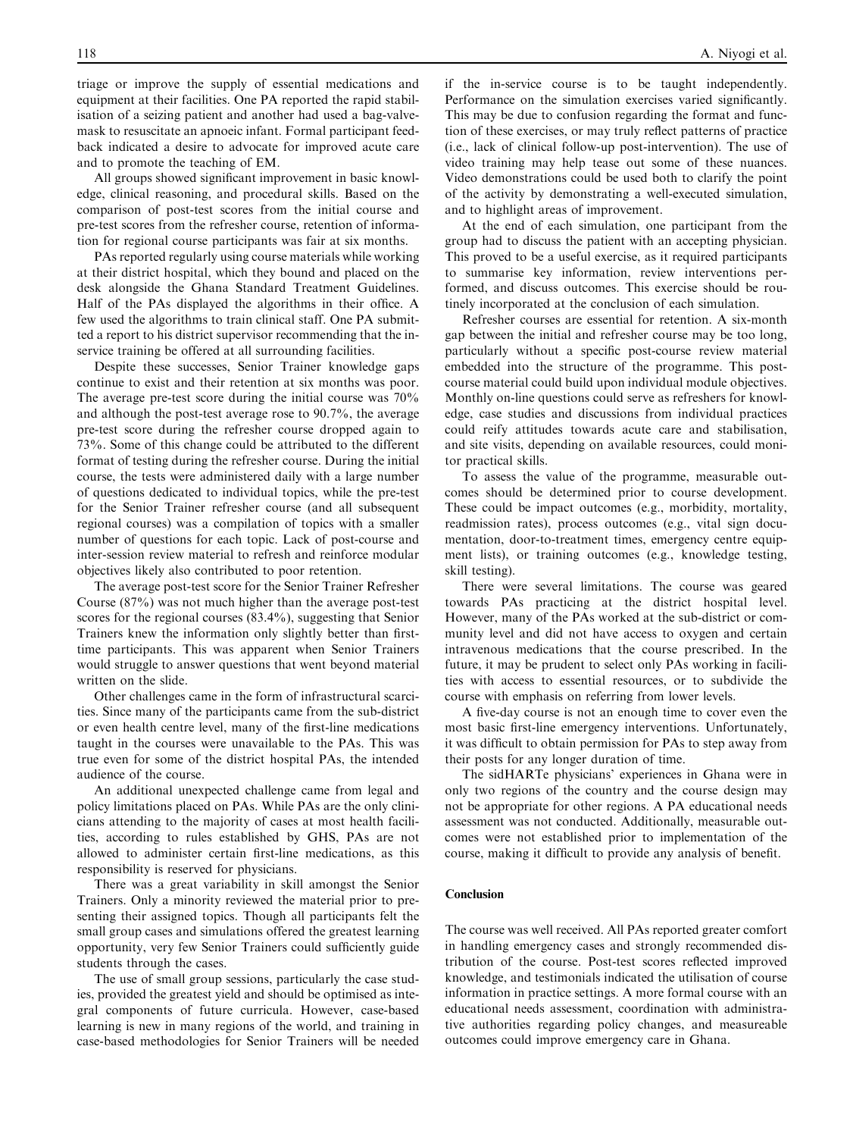All groups showed significant improvement in basic knowledge, clinical reasoning, and procedural skills. Based on the comparison of post-test scores from the initial course and pre-test scores from the refresher course, retention of information for regional course participants was fair at six months.

PAs reported regularly using course materials while working at their district hospital, which they bound and placed on the desk alongside the Ghana Standard Treatment Guidelines. Half of the PAs displayed the algorithms in their office. A few used the algorithms to train clinical staff. One PA submitted a report to his district supervisor recommending that the inservice training be offered at all surrounding facilities.

Despite these successes, Senior Trainer knowledge gaps continue to exist and their retention at six months was poor. The average pre-test score during the initial course was 70% and although the post-test average rose to 90.7%, the average pre-test score during the refresher course dropped again to 73%. Some of this change could be attributed to the different format of testing during the refresher course. During the initial course, the tests were administered daily with a large number of questions dedicated to individual topics, while the pre-test for the Senior Trainer refresher course (and all subsequent regional courses) was a compilation of topics with a smaller number of questions for each topic. Lack of post-course and inter-session review material to refresh and reinforce modular objectives likely also contributed to poor retention.

The average post-test score for the Senior Trainer Refresher Course (87%) was not much higher than the average post-test scores for the regional courses (83.4%), suggesting that Senior Trainers knew the information only slightly better than firsttime participants. This was apparent when Senior Trainers would struggle to answer questions that went beyond material written on the slide.

Other challenges came in the form of infrastructural scarcities. Since many of the participants came from the sub-district or even health centre level, many of the first-line medications taught in the courses were unavailable to the PAs. This was true even for some of the district hospital PAs, the intended audience of the course.

An additional unexpected challenge came from legal and policy limitations placed on PAs. While PAs are the only clinicians attending to the majority of cases at most health facilities, according to rules established by GHS, PAs are not allowed to administer certain first-line medications, as this responsibility is reserved for physicians.

There was a great variability in skill amongst the Senior Trainers. Only a minority reviewed the material prior to presenting their assigned topics. Though all participants felt the small group cases and simulations offered the greatest learning opportunity, very few Senior Trainers could sufficiently guide students through the cases.

The use of small group sessions, particularly the case studies, provided the greatest yield and should be optimised as integral components of future curricula. However, case-based learning is new in many regions of the world, and training in case-based methodologies for Senior Trainers will be needed if the in-service course is to be taught independently. Performance on the simulation exercises varied significantly. This may be due to confusion regarding the format and function of these exercises, or may truly reflect patterns of practice

(i.e., lack of clinical follow-up post-intervention). The use of video training may help tease out some of these nuances. Video demonstrations could be used both to clarify the point of the activity by demonstrating a well-executed simulation, and to highlight areas of improvement.

At the end of each simulation, one participant from the group had to discuss the patient with an accepting physician. This proved to be a useful exercise, as it required participants to summarise key information, review interventions performed, and discuss outcomes. This exercise should be routinely incorporated at the conclusion of each simulation.

Refresher courses are essential for retention. A six-month gap between the initial and refresher course may be too long, particularly without a specific post-course review material embedded into the structure of the programme. This postcourse material could build upon individual module objectives. Monthly on-line questions could serve as refreshers for knowledge, case studies and discussions from individual practices could reify attitudes towards acute care and stabilisation, and site visits, depending on available resources, could monitor practical skills.

To assess the value of the programme, measurable outcomes should be determined prior to course development. These could be impact outcomes (e.g., morbidity, mortality, readmission rates), process outcomes (e.g., vital sign documentation, door-to-treatment times, emergency centre equipment lists), or training outcomes (e.g., knowledge testing, skill testing).

There were several limitations. The course was geared towards PAs practicing at the district hospital level. However, many of the PAs worked at the sub-district or community level and did not have access to oxygen and certain intravenous medications that the course prescribed. In the future, it may be prudent to select only PAs working in facilities with access to essential resources, or to subdivide the course with emphasis on referring from lower levels.

A five-day course is not an enough time to cover even the most basic first-line emergency interventions. Unfortunately, it was difficult to obtain permission for PAs to step away from their posts for any longer duration of time.

The sidHARTe physicians' experiences in Ghana were in only two regions of the country and the course design may not be appropriate for other regions. A PA educational needs assessment was not conducted. Additionally, measurable outcomes were not established prior to implementation of the course, making it difficult to provide any analysis of benefit.

## Conclusion

The course was well received. All PAs reported greater comfort in handling emergency cases and strongly recommended distribution of the course. Post-test scores reflected improved knowledge, and testimonials indicated the utilisation of course information in practice settings. A more formal course with an educational needs assessment, coordination with administrative authorities regarding policy changes, and measureable outcomes could improve emergency care in Ghana.